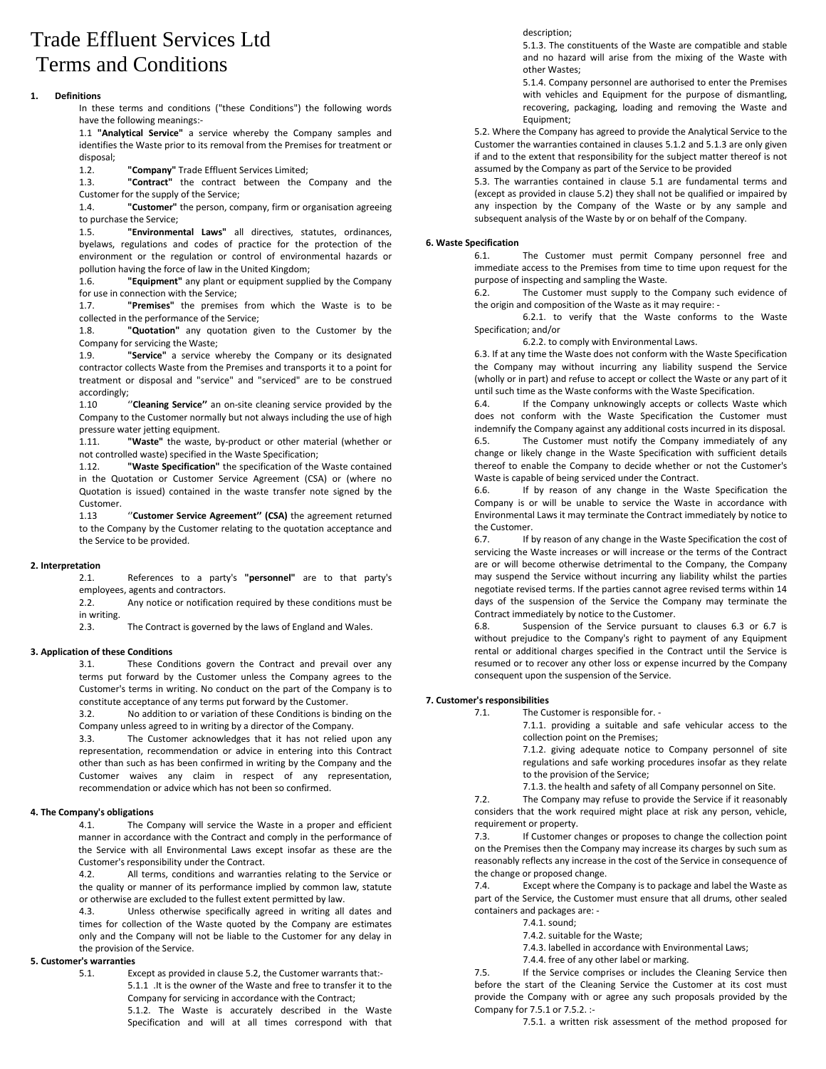# Trade Effluent Services Ltd Terms and Conditions

## **1. Definitions**

In these terms and conditions ("these Conditions") the following words have the following meanings:-

1.1 **"Analytical Service"** a service whereby the Company samples and identifies the Waste prior to its removal from the Premises for treatment or disposal;

1.2. **"Company"** Trade Effluent Services Limited;

1.3. **"Contract"** the contract between the Company and the

Customer for the supply of the Service;<br>1.4. **"Customer"** the person, cor "Customer" the person, company, firm or organisation agreeing to purchase the Service;

1.5. **"Environmental Laws"** all directives, statutes, ordinances, byelaws, regulations and codes of practice for the protection of the environment or the regulation or control of environmental hazards or pollution having the force of law in the United Kingdom;

1.6. **"Equipment"** any plant or equipment supplied by the Company for use in connection with the Service;

1.7. **"Premises"** the premises from which the Waste is to be collected in the performance of the Service;

1.8. **"Quotation"** any quotation given to the Customer by the Company for servicing the Waste;

1.9. **"Service"** a service whereby the Company or its designated contractor collects Waste from the Premises and transports it to a point for treatment or disposal and "service" and "serviced" are to be construed accordingly;

1.10 ''**Cleaning Service''** an on-site cleaning service provided by the Company to the Customer normally but not always including the use of high pressure water jetting equipment.

1.11. **"Waste"** the waste, by-product or other material (whether or not controlled waste) specified in the Waste Specification;

1.12. **"Waste Specification"** the specification of the Waste contained in the Quotation or Customer Service Agreement (CSA) or (where no Quotation is issued) contained in the waste transfer note signed by the Customer.

1.13 ''**Customer Service Agreement'' (CSA)** the agreement returned to the Company by the Customer relating to the quotation acceptance and the Service to be provided.

## **2. Interpretation**

2.1. References to a party's **"personnel"** are to that party's employees, agents and contractors.

2.2. Any notice or notification required by these conditions must be in writing.

2.3. The Contract is governed by the laws of England and Wales.

## **3. Application of these Conditions**

3.1. These Conditions govern the Contract and prevail over any terms put forward by the Customer unless the Company agrees to the Customer's terms in writing. No conduct on the part of the Company is to constitute acceptance of any terms put forward by the Customer.

3.2. No addition to or variation of these Conditions is binding on the Company unless agreed to in writing by a director of the Company.

3.3. The Customer acknowledges that it has not relied upon any representation, recommendation or advice in entering into this Contract other than such as has been confirmed in writing by the Company and the Customer waives any claim in respect of any representation, recommendation or advice which has not been so confirmed.

#### **4. The Company's obligations**

4.1. The Company will service the Waste in a proper and efficient manner in accordance with the Contract and comply in the performance of the Service with all Environmental Laws except insofar as these are the Customer's responsibility under the Contract.

4.2. All terms, conditions and warranties relating to the Service or the quality or manner of its performance implied by common law, statute or otherwise are excluded to the fullest extent permitted by law.

4.3. Unless otherwise specifically agreed in writing all dates and times for collection of the Waste quoted by the Company are estimates only and the Company will not be liable to the Customer for any delay in the provision of the Service.

## **5. Customer's warranties**

5.1. Except as provided in clause 5.2, the Customer warrants that:- 5.1.1 .It is the owner of the Waste and free to transfer it to the Company for servicing in accordance with the Contract; 5.1.2. The Waste is accurately described in the Waste

Specification and will at all times correspond with that

description;

5.1.3. The constituents of the Waste are compatible and stable and no hazard will arise from the mixing of the Waste with other Wastes;

5.1.4. Company personnel are authorised to enter the Premises with vehicles and Equipment for the purpose of dismantling, recovering, packaging, loading and removing the Waste and Equipment;

5.2. Where the Company has agreed to provide the Analytical Service to the Customer the warranties contained in clauses 5.1.2 and 5.1.3 are only given if and to the extent that responsibility for the subject matter thereof is not assumed by the Company as part of the Service to be provided

5.3. The warranties contained in clause 5.1 are fundamental terms and (except as provided in clause 5.2) they shall not be qualified or impaired by any inspection by the Company of the Waste or by any sample and subsequent analysis of the Waste by or on behalf of the Company.

## **6. Waste Specification**

6.1. The Customer must permit Company personnel free and immediate access to the Premises from time to time upon request for the purpose of inspecting and sampling the Waste.

6.2. The Customer must supply to the Company such evidence of the origin and composition of the Waste as it may require: -

6.2.1. to verify that the Waste conforms to the Waste Specification; and/or

6.2.2. to comply with Environmental Laws.

6.3. If at any time the Waste does not conform with the Waste Specification the Company may without incurring any liability suspend the Service (wholly or in part) and refuse to accept or collect the Waste or any part of it until such time as the Waste conforms with the Waste Specification.

6.4. If the Company unknowingly accepts or collects Waste which does not conform with the Waste Specification the Customer must indemnify the Company against any additional costs incurred in its disposal.

6.5. The Customer must notify the Company immediately of any change or likely change in the Waste Specification with sufficient details thereof to enable the Company to decide whether or not the Customer's Waste is capable of being serviced under the Contract.

6.6. If by reason of any change in the Waste Specification the Company is or will be unable to service the Waste in accordance with Environmental Laws it may terminate the Contract immediately by notice to the Customer.

6.7. If by reason of any change in the Waste Specification the cost of servicing the Waste increases or will increase or the terms of the Contract are or will become otherwise detrimental to the Company, the Company may suspend the Service without incurring any liability whilst the parties negotiate revised terms. If the parties cannot agree revised terms within 14 days of the suspension of the Service the Company may terminate the Contract immediately by notice to the Customer.

6.8. Suspension of the Service pursuant to clauses 6.3 or 6.7 is without prejudice to the Company's right to payment of any Equipment rental or additional charges specified in the Contract until the Service is resumed or to recover any other loss or expense incurred by the Company consequent upon the suspension of the Service.

## **7. Customer's responsibilities**

7.1. The Customer is responsible for. -

7.1.1. providing a suitable and safe vehicular access to the collection point on the Premises;

7.1.2. giving adequate notice to Company personnel of site regulations and safe working procedures insofar as they relate to the provision of the Service;

7.1.3. the health and safety of all Company personnel on Site.

7.2. The Company may refuse to provide the Service if it reasonably considers that the work required might place at risk any person, vehicle, requirement or property.

7.3. If Customer changes or proposes to change the collection point on the Premises then the Company may increase its charges by such sum as reasonably reflects any increase in the cost of the Service in consequence of the change or proposed change.

7.4. Except where the Company is to package and label the Waste as part of the Service, the Customer must ensure that all drums, other sealed containers and packages are: -

- 7.4.1. sound;
- 7.4.2. suitable for the Waste;
- 7.4.3. labelled in accordance with Environmental Laws;
- 7.4.4. free of any other label or marking.

7.5. If the Service comprises or includes the Cleaning Service then before the start of the Cleaning Service the Customer at its cost must provide the Company with or agree any such proposals provided by the Company for 7.5.1 or 7.5.2. :-

7.5.1. a written risk assessment of the method proposed for